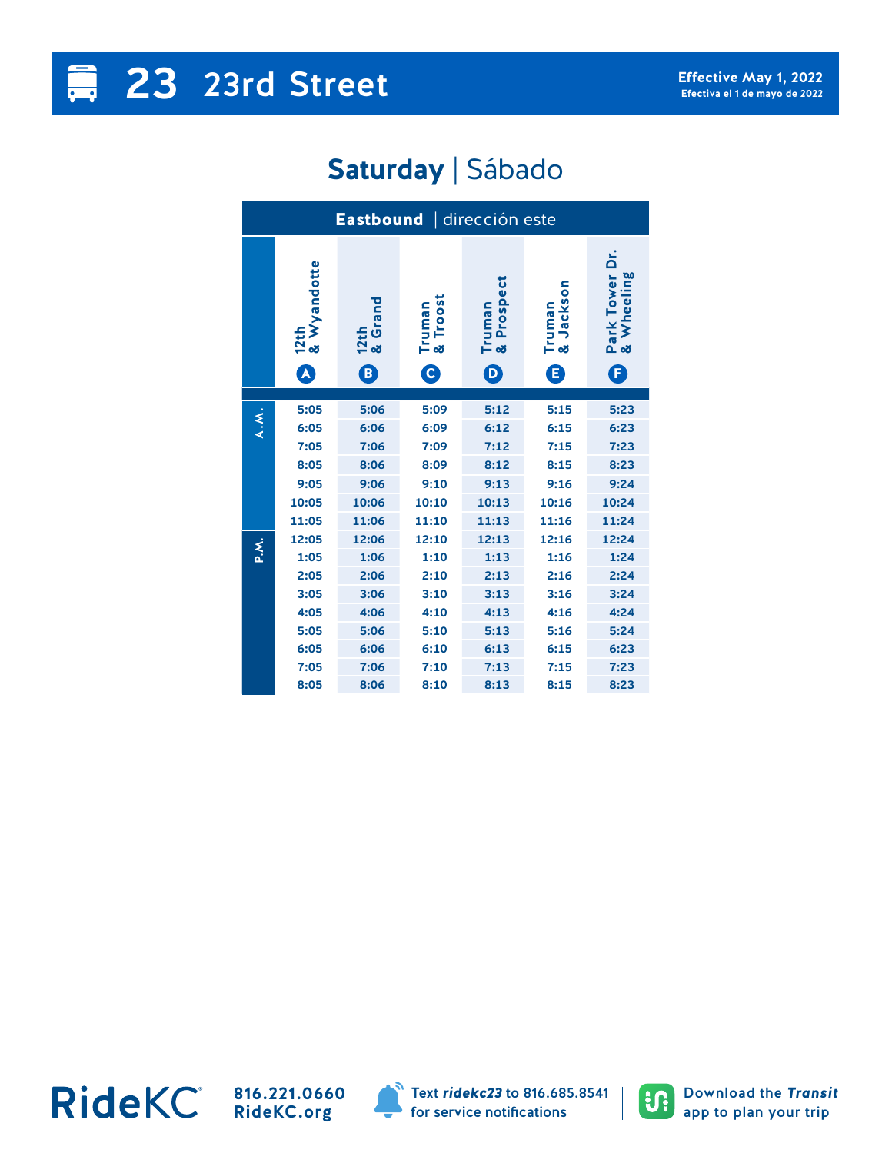| Saturday   Sábado          |                     |                 |                    |                      |                                     |                                          |  |  |  |  |
|----------------------------|---------------------|-----------------|--------------------|----------------------|-------------------------------------|------------------------------------------|--|--|--|--|
| Eastbound   dirección este |                     |                 |                    |                      |                                     |                                          |  |  |  |  |
|                            | 12th<br>& Wyandotte | 12th<br>& Grand | Truman<br>& Troost | Truman<br>& Prospect | Jackson<br><b>Truman</b><br>& Jacks | Park Tower Dr.<br>& Wheeling<br>Wheeling |  |  |  |  |
|                            | A                   | ®               | $\bullet$          | $\bullet$            | 8                                   | ß                                        |  |  |  |  |
|                            | 5:05                | 5:06            | 5:09               | 5:12                 | 5:15                                | 5:23                                     |  |  |  |  |
| A.M.                       | 6:05                | 6:06            | 6:09               | 6:12                 | 6:15                                | 6:23                                     |  |  |  |  |
|                            | 7:05                | 7:06            | 7:09               | 7:12                 | 7:15                                | 7:23                                     |  |  |  |  |
|                            | 8:05                | 8:06            | 8:09               | 8:12                 | 8:15                                | 8:23                                     |  |  |  |  |
|                            | 9:05                | 9:06            | 9:10               | 9:13                 | 9:16                                | 9:24                                     |  |  |  |  |
|                            | 10:05               | 10:06           | 10:10              | 10:13                | 10:16                               | 10:24                                    |  |  |  |  |
|                            | 11:05               | 11:06           | 11:10              | 11:13                | 11:16                               | 11:24                                    |  |  |  |  |
| P.M.                       | 12:05               | 12:06           | 12:10              | 12:13                | 12:16                               | 12:24                                    |  |  |  |  |
|                            | 1:05                | 1:06            | 1:10               | 1:13                 | 1:16                                | 1:24                                     |  |  |  |  |
|                            | 2:05                | 2:06            | 2:10               | 2:13                 | 2:16                                | 2:24                                     |  |  |  |  |
|                            | 3:05                | 3:06            | 3:10               | 3:13                 | 3:16                                | 3:24                                     |  |  |  |  |
|                            | 4:05                | 4:06            | 4:10               | 4:13                 | 4:16                                | 4:24                                     |  |  |  |  |
|                            | 5:05                | 5:06            | 5:10               | 5:13                 | 5:16                                | 5:24                                     |  |  |  |  |
|                            | 6:05                | 6:06            | 6:10               | 6:13                 | 6:15                                | 6:23                                     |  |  |  |  |
|                            | 7:05                | 7:06            | 7:10               | 7:13                 | 7:15                                | 7:23                                     |  |  |  |  |
|                            | 8:05                | 8:06            | 8:10               | 8:13                 | 8:15                                | 8:23                                     |  |  |  |  |

**816.221.0660 RideKC.org**



Text *ridekc23* to 816.685.8541 for service notifications